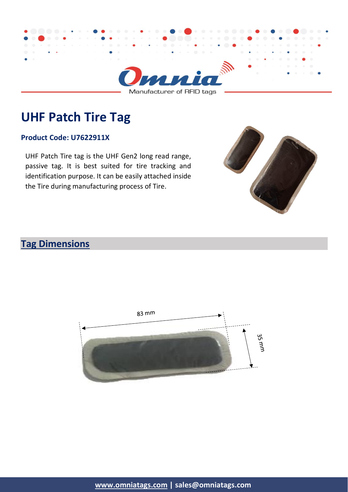

**UHF Patch Tire Tag**

#### **Product Code: U7622911X**

UHF Patch Tire tag is the UHF Gen2 long read range, passive tag. It is best suited for tire tracking and identification purpose. It can be easily attached inside the Tire during manufacturing process of Tire.



# **Tag Dimensions**

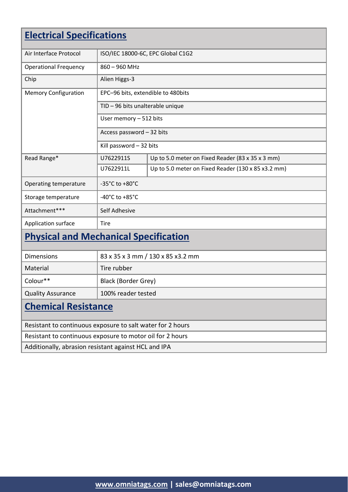| <b>Electrical Specifications</b>                           |                                      |                                                    |  |  |
|------------------------------------------------------------|--------------------------------------|----------------------------------------------------|--|--|
| Air Interface Protocol                                     |                                      | ISO/IEC 18000-6C, EPC Global C1G2                  |  |  |
| <b>Operational Frequency</b>                               | 860 - 960 MHz                        |                                                    |  |  |
| Chip                                                       | Alien Higgs-3                        |                                                    |  |  |
| <b>Memory Configuration</b>                                | EPC-96 bits, extendible to 480bits   |                                                    |  |  |
|                                                            | TID - 96 bits unalterable unique     |                                                    |  |  |
|                                                            | User memory - 512 bits               |                                                    |  |  |
|                                                            | Access password - 32 bits            |                                                    |  |  |
|                                                            | Kill password - 32 bits              |                                                    |  |  |
| Read Range*                                                | U7622911S                            | Up to 5.0 meter on Fixed Reader (83 x 35 x 3 mm)   |  |  |
|                                                            | U7622911L                            | Up to 5.0 meter on Fixed Reader (130 x 85 x3.2 mm) |  |  |
| Operating temperature                                      | -35 $^{\circ}$ C to +80 $^{\circ}$ C |                                                    |  |  |
| Storage temperature                                        | -40 $^{\circ}$ C to +85 $^{\circ}$ C |                                                    |  |  |
| Attachment***                                              | Self Adhesive                        |                                                    |  |  |
| Application surface                                        | <b>Tire</b>                          |                                                    |  |  |
| <b>Physical and Mechanical Specification</b>               |                                      |                                                    |  |  |
| <b>Dimensions</b>                                          | 83 x 35 x 3 mm / 130 x 85 x 3.2 mm   |                                                    |  |  |
| Material                                                   | Tire rubber                          |                                                    |  |  |
| Colour**                                                   | Black (Border Grey)                  |                                                    |  |  |
| <b>Quality Assurance</b>                                   | 100% reader tested                   |                                                    |  |  |
| <b>Chemical Resistance</b>                                 |                                      |                                                    |  |  |
| Resistant to continuous exposure to salt water for 2 hours |                                      |                                                    |  |  |
| Resistant to continuous exposure to motor oil for 2 hours  |                                      |                                                    |  |  |
| Additionally, abrasion resistant against HCL and IPA       |                                      |                                                    |  |  |